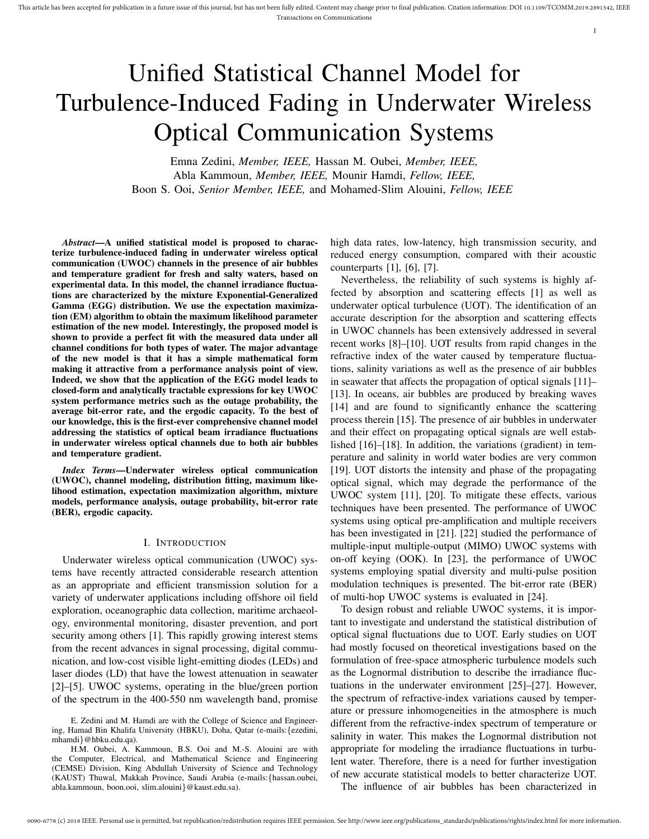# Unified Statistical Channel Model for Turbulence-Induced Fading in Underwater Wireless Optical Communication Systems

Emna Zedini, *Member, IEEE,* Hassan M. Oubei, *Member, IEEE,* Abla Kammoun, *Member, IEEE,* Mounir Hamdi, *Fellow, IEEE,* Boon S. Ooi, *Senior Member, IEEE,* and Mohamed-Slim Alouini, *Fellow, IEEE*

*Abstract*—A unified statistical model is proposed to characterize turbulence-induced fading in underwater wireless optical communication (UWOC) channels in the presence of air bubbles and temperature gradient for fresh and salty waters, based on experimental data. In this model, the channel irradiance fluctuations are characterized by the mixture Exponential-Generalized Gamma (EGG) distribution. We use the expectation maximization (EM) algorithm to obtain the maximum likelihood parameter estimation of the new model. Interestingly, the proposed model is shown to provide a perfect fit with the measured data under all channel conditions for both types of water. The major advantage of the new model is that it has a simple mathematical form making it attractive from a performance analysis point of view. Indeed, we show that the application of the EGG model leads to closed-form and analytically tractable expressions for key UWOC system performance metrics such as the outage probability, the average bit-error rate, and the ergodic capacity. To the best of our knowledge, this is the first-ever comprehensive channel model addressing the statistics of optical beam irradiance fluctuations in underwater wireless optical channels due to both air bubbles and temperature gradient.

*Index Terms*—Underwater wireless optical communication (UWOC), channel modeling, distribution fitting, maximum likelihood estimation, expectation maximization algorithm, mixture models, performance analysis, outage probability, bit-error rate (BER), ergodic capacity.

# I. INTRODUCTION

Underwater wireless optical communication (UWOC) systems have recently attracted considerable research attention as an appropriate and efficient transmission solution for a variety of underwater applications including offshore oil field exploration, oceanographic data collection, maritime archaeology, environmental monitoring, disaster prevention, and port security among others [1]. This rapidly growing interest stems from the recent advances in signal processing, digital communication, and low-cost visible light-emitting diodes (LEDs) and laser diodes (LD) that have the lowest attenuation in seawater [2]–[5]. UWOC systems, operating in the blue/green portion of the spectrum in the 400-550 nm wavelength band, promise

E. Zedini and M. Hamdi are with the College of Science and Engineering, Hamad Bin Khalifa University (HBKU), Doha, Qatar (e-mails:{ezedini, mhamdi}@hbku.edu.qa).

H.M. Oubei, A. Kammoun, B.S. Ooi and M.-S. Alouini are with the Computer, Electrical, and Mathematical Science and Engineering (CEMSE) Division, King Abdullah University of Science and Technology (KAUST) Thuwal, Makkah Province, Saudi Arabia (e-mails:{hassan.oubei, abla.kammoun, boon.ooi, slim.alouini}@kaust.edu.sa).

high data rates, low-latency, high transmission security, and reduced energy consumption, compared with their acoustic counterparts [1], [6], [7].

1

Nevertheless, the reliability of such systems is highly affected by absorption and scattering effects [1] as well as underwater optical turbulence (UOT). The identification of an accurate description for the absorption and scattering effects in UWOC channels has been extensively addressed in several recent works [8]–[10]. UOT results from rapid changes in the refractive index of the water caused by temperature fluctuations, salinity variations as well as the presence of air bubbles in seawater that affects the propagation of optical signals [11]– [13]. In oceans, air bubbles are produced by breaking waves [14] and are found to significantly enhance the scattering process therein [15]. The presence of air bubbles in underwater and their effect on propagating optical signals are well established [16]–[18]. In addition, the variations (gradient) in temperature and salinity in world water bodies are very common [19]. UOT distorts the intensity and phase of the propagating optical signal, which may degrade the performance of the UWOC system [11], [20]. To mitigate these effects, various techniques have been presented. The performance of UWOC systems using optical pre-amplification and multiple receivers has been investigated in [21]. [22] studied the performance of multiple-input multiple-output (MIMO) UWOC systems with on-off keying (OOK). In [23], the performance of UWOC systems employing spatial diversity and multi-pulse position modulation techniques is presented. The bit-error rate (BER) of multi-hop UWOC systems is evaluated in [24].

To design robust and reliable UWOC systems, it is important to investigate and understand the statistical distribution of optical signal fluctuations due to UOT. Early studies on UOT had mostly focused on theoretical investigations based on the formulation of free-space atmospheric turbulence models such as the Lognormal distribution to describe the irradiance fluctuations in the underwater environment [25]–[27]. However, the spectrum of refractive-index variations caused by temperature or pressure inhomogeneities in the atmosphere is much different from the refractive-index spectrum of temperature or salinity in water. This makes the Lognormal distribution not appropriate for modeling the irradiance fluctuations in turbulent water. Therefore, there is a need for further investigation of new accurate statistical models to better characterize UOT.

The influence of air bubbles has been characterized in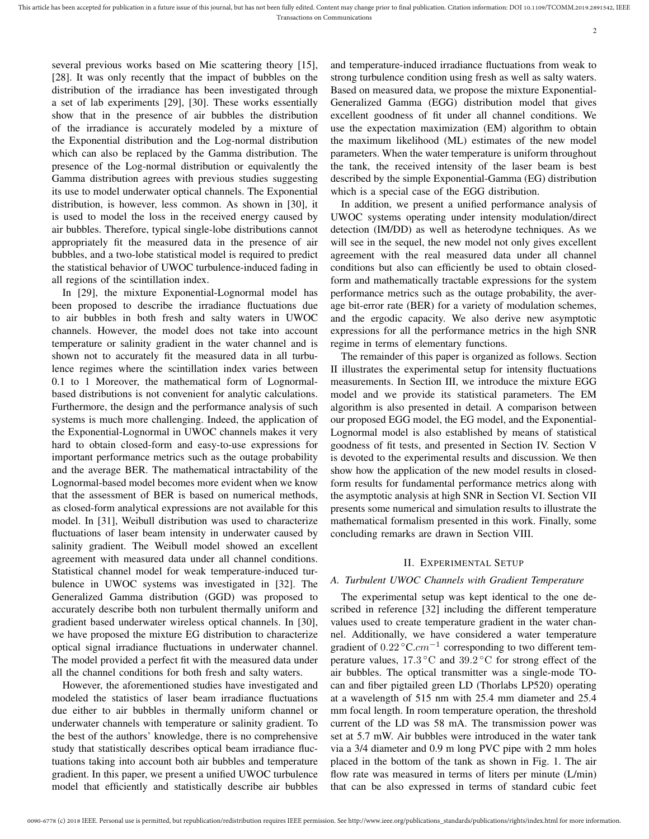several previous works based on Mie scattering theory [15], [28]. It was only recently that the impact of bubbles on the distribution of the irradiance has been investigated through a set of lab experiments [29], [30]. These works essentially show that in the presence of air bubbles the distribution of the irradiance is accurately modeled by a mixture of the Exponential distribution and the Log-normal distribution which can also be replaced by the Gamma distribution. The presence of the Log-normal distribution or equivalently the Gamma distribution agrees with previous studies suggesting its use to model underwater optical channels. The Exponential distribution, is however, less common. As shown in [30], it is used to model the loss in the received energy caused by air bubbles. Therefore, typical single-lobe distributions cannot appropriately fit the measured data in the presence of air bubbles, and a two-lobe statistical model is required to predict the statistical behavior of UWOC turbulence-induced fading in all regions of the scintillation index.

In [29], the mixture Exponential-Lognormal model has been proposed to describe the irradiance fluctuations due to air bubbles in both fresh and salty waters in UWOC channels. However, the model does not take into account temperature or salinity gradient in the water channel and is shown not to accurately fit the measured data in all turbulence regimes where the scintillation index varies between 0.1 to 1 Moreover, the mathematical form of Lognormalbased distributions is not convenient for analytic calculations. Furthermore, the design and the performance analysis of such systems is much more challenging. Indeed, the application of the Exponential-Lognormal in UWOC channels makes it very hard to obtain closed-form and easy-to-use expressions for important performance metrics such as the outage probability and the average BER. The mathematical intractability of the Lognormal-based model becomes more evident when we know that the assessment of BER is based on numerical methods, as closed-form analytical expressions are not available for this model. In [31], Weibull distribution was used to characterize fluctuations of laser beam intensity in underwater caused by salinity gradient. The Weibull model showed an excellent agreement with measured data under all channel conditions. Statistical channel model for weak temperature-induced turbulence in UWOC systems was investigated in [32]. The Generalized Gamma distribution (GGD) was proposed to accurately describe both non turbulent thermally uniform and gradient based underwater wireless optical channels. In [30], we have proposed the mixture EG distribution to characterize optical signal irradiance fluctuations in underwater channel. The model provided a perfect fit with the measured data under all the channel conditions for both fresh and salty waters.

However, the aforementioned studies have investigated and modeled the statistics of laser beam irradiance fluctuations due either to air bubbles in thermally uniform channel or underwater channels with temperature or salinity gradient. To the best of the authors' knowledge, there is no comprehensive study that statistically describes optical beam irradiance fluctuations taking into account both air bubbles and temperature gradient. In this paper, we present a unified UWOC turbulence model that efficiently and statistically describe air bubbles

and temperature-induced irradiance fluctuations from weak to strong turbulence condition using fresh as well as salty waters. Based on measured data, we propose the mixture Exponential-Generalized Gamma (EGG) distribution model that gives excellent goodness of fit under all channel conditions. We use the expectation maximization (EM) algorithm to obtain the maximum likelihood (ML) estimates of the new model parameters. When the water temperature is uniform throughout the tank, the received intensity of the laser beam is best described by the simple Exponential-Gamma (EG) distribution which is a special case of the EGG distribution.

In addition, we present a unified performance analysis of UWOC systems operating under intensity modulation/direct detection (IM/DD) as well as heterodyne techniques. As we will see in the sequel, the new model not only gives excellent agreement with the real measured data under all channel conditions but also can efficiently be used to obtain closedform and mathematically tractable expressions for the system performance metrics such as the outage probability, the average bit-error rate (BER) for a variety of modulation schemes, and the ergodic capacity. We also derive new asymptotic expressions for all the performance metrics in the high SNR regime in terms of elementary functions.

The remainder of this paper is organized as follows. Section II illustrates the experimental setup for intensity fluctuations measurements. In Section III, we introduce the mixture EGG model and we provide its statistical parameters. The EM algorithm is also presented in detail. A comparison between our proposed EGG model, the EG model, and the Exponential-Lognormal model is also established by means of statistical goodness of fit tests, and presented in Section IV. Section V is devoted to the experimental results and discussion. We then show how the application of the new model results in closedform results for fundamental performance metrics along with the asymptotic analysis at high SNR in Section VI. Section VII presents some numerical and simulation results to illustrate the mathematical formalism presented in this work. Finally, some concluding remarks are drawn in Section VIII.

### II. EXPERIMENTAL SETUP

# *A. Turbulent UWOC Channels with Gradient Temperature*

The experimental setup was kept identical to the one described in reference [32] including the different temperature values used to create temperature gradient in the water channel. Additionally, we have considered a water temperature gradient of  $0.22 \degree \text{C}$ . $cm^{-1}$  corresponding to two different temperature values, 17.3 °C and 39.2 °C for strong effect of the air bubbles. The optical transmitter was a single-mode TOcan and fiber pigtailed green LD (Thorlabs LP520) operating at a wavelength of 515 nm with 25.4 mm diameter and 25.4 mm focal length. In room temperature operation, the threshold current of the LD was 58 mA. The transmission power was set at 5.7 mW. Air bubbles were introduced in the water tank via a 3/4 diameter and 0.9 m long PVC pipe with 2 mm holes placed in the bottom of the tank as shown in Fig. 1. The air flow rate was measured in terms of liters per minute (L/min) that can be also expressed in terms of standard cubic feet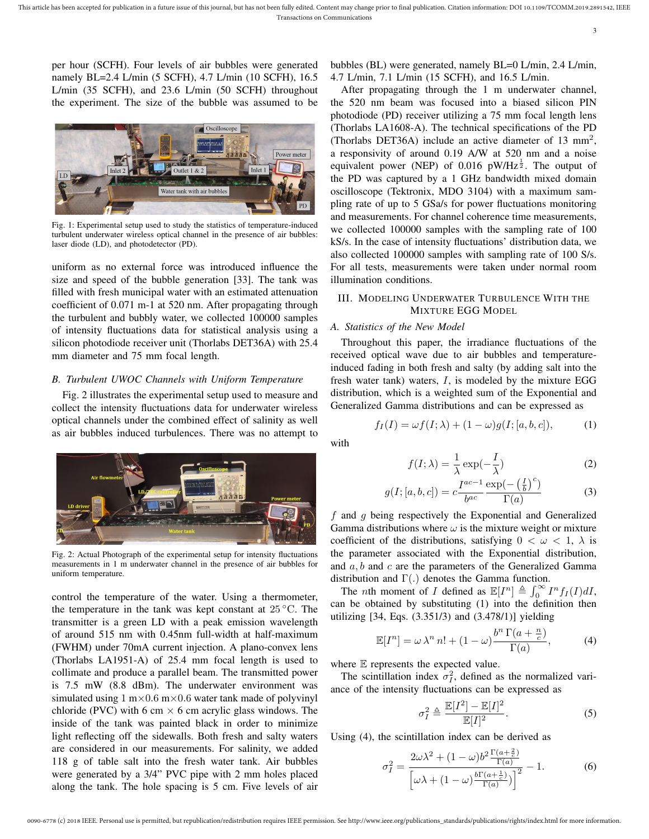per hour (SCFH). Four levels of air bubbles were generated namely BL=2.4 L/min (5 SCFH), 4.7 L/min (10 SCFH), 16.5 L/min (35 SCFH), and 23.6 L/min (50 SCFH) throughout the experiment. The size of the bubble was assumed to be



Fig. 1: Experimental setup used to study the statistics of temperature-induced turbulent underwater wireless optical channel in the presence of air bubbles: laser diode (LD), and photodetector (PD).

uniform as no external force was introduced influence the size and speed of the bubble generation [33]. The tank was filled with fresh municipal water with an estimated attenuation coefficient of 0.071 m-1 at 520 nm. After propagating through the turbulent and bubbly water, we collected 100000 samples of intensity fluctuations data for statistical analysis using a silicon photodiode receiver unit (Thorlabs DET36A) with 25.4 mm diameter and 75 mm focal length.

# *B. Turbulent UWOC Channels with Uniform Temperature*

Fig. 2 illustrates the experimental setup used to measure and collect the intensity fluctuations data for underwater wireless optical channels under the combined effect of salinity as well as air bubbles induced turbulences. There was no attempt to



Fig. 2: Actual Photograph of the experimental setup for intensity fluctuations measurements in 1 m underwater channel in the presence of air bubbles for uniform temperature.

control the temperature of the water. Using a thermometer, the temperature in the tank was kept constant at  $25\,^{\circ}\text{C}$ . The transmitter is a green LD with a peak emission wavelength of around 515 nm with 0.45nm full-width at half-maximum (FWHM) under 70mA current injection. A plano-convex lens (Thorlabs LA1951-A) of 25.4 mm focal length is used to collimate and produce a parallel beam. The transmitted power is 7.5 mW (8.8 dBm). The underwater environment was simulated using  $1 \text{ m} \times 0.6 \text{ m} \times 0.6$  water tank made of polyvinyl chloride (PVC) with 6 cm  $\times$  6 cm acrylic glass windows. The inside of the tank was painted black in order to minimize light reflecting off the sidewalls. Both fresh and salty waters are considered in our measurements. For salinity, we added 118 g of table salt into the fresh water tank. Air bubbles were generated by a 3/4" PVC pipe with 2 mm holes placed along the tank. The hole spacing is 5 cm. Five levels of air bubbles (BL) were generated, namely BL=0 L/min, 2.4 L/min, 4.7 L/min, 7.1 L/min (15 SCFH), and 16.5 L/min.

3

After propagating through the 1 m underwater channel, the 520 nm beam was focused into a biased silicon PIN photodiode (PD) receiver utilizing a 75 mm focal length lens (Thorlabs LA1608-A). The technical specifications of the PD (Thorlabs DET36A) include an active diameter of 13 mm<sup>2</sup>, a responsivity of around 0.19 A/W at 520 nm and a noise equivalent power (NEP) of 0.016 pW/Hz<sup> $\frac{1}{2}$ </sup>. The output of the PD was captured by a 1 GHz bandwidth mixed domain oscilloscope (Tektronix, MDO 3104) with a maximum sampling rate of up to 5 GSa/s for power fluctuations monitoring and measurements. For channel coherence time measurements, we collected 100000 samples with the sampling rate of 100 kS/s. In the case of intensity fluctuations' distribution data, we also collected 100000 samples with sampling rate of 100 S/s. For all tests, measurements were taken under normal room illumination conditions.

# III. MODELING UNDERWATER TURBULENCE WITH THE MIXTURE EGG MODEL

# *A. Statistics of the New Model*

Throughout this paper, the irradiance fluctuations of the received optical wave due to air bubbles and temperatureinduced fading in both fresh and salty (by adding salt into the fresh water tank) waters, I, is modeled by the mixture EGG distribution, which is a weighted sum of the Exponential and Generalized Gamma distributions and can be expressed as

$$
f_I(I) = \omega f(I; \lambda) + (1 - \omega)g(I; [a, b, c]), \qquad (1)
$$

with

$$
f(I; \lambda) = \frac{1}{\lambda} \exp(-\frac{I}{\lambda})
$$
 (2)

$$
g(I; [a, b, c]) = c \frac{I^{ac-1}}{b^{ac}} \frac{\exp(-\left(\frac{I}{b}\right)^c)}{\Gamma(a)}
$$
(3)

 $f$  and  $g$  being respectively the Exponential and Generalized Gamma distributions where  $\omega$  is the mixture weight or mixture coefficient of the distributions, satisfying  $0 < \omega < 1$ ,  $\lambda$  is the parameter associated with the Exponential distribution, and  $a, b$  and  $c$  are the parameters of the Generalized Gamma distribution and  $\Gamma(.)$  denotes the Gamma function.

The *n*th moment of *I* defined as  $\mathbb{E}[I^n] \triangleq \int_0^\infty I^n f_I(I) dI$ , can be obtained by substituting (1) into the definition then utilizing [34, Eqs. (3.351/3) and (3.478/1)] yielding

$$
\mathbb{E}[I^n] = \omega \lambda^n n! + (1 - \omega) \frac{b^n \Gamma(a + \frac{n}{c})}{\Gamma(a)},
$$
 (4)

where E represents the expected value.

The scintillation index  $\sigma_I^2$ , defined as the normalized variance of the intensity fluctuations can be expressed as

$$
\sigma_I^2 \triangleq \frac{\mathbb{E}[I^2] - \mathbb{E}[I]^2}{\mathbb{E}[I]^2}.
$$
\n(5)

Using (4), the scintillation index can be derived as

$$
\sigma_I^2 = \frac{2\omega\lambda^2 + (1-\omega)b^2 \frac{\Gamma(a+\frac{2}{c})}{\Gamma(a)}}{\left[\omega\lambda + (1-\omega)\frac{b\Gamma(a+\frac{1}{c})}{\Gamma(a)}\right]^2} - 1.
$$
 (6)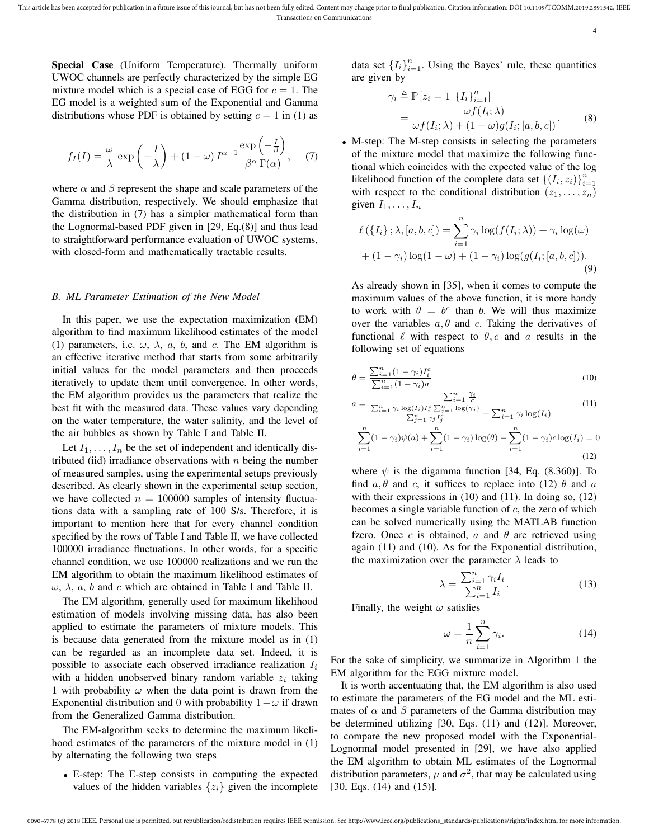Special Case (Uniform Temperature). Thermally uniform UWOC channels are perfectly characterized by the simple EG mixture model which is a special case of EGG for  $c = 1$ . The EG model is a weighted sum of the Exponential and Gamma distributions whose PDF is obtained by setting  $c = 1$  in (1) as

$$
f_I(I) = \frac{\omega}{\lambda} \exp\left(-\frac{I}{\lambda}\right) + (1 - \omega) I^{\alpha - 1} \frac{\exp\left(-\frac{I}{\beta}\right)}{\beta^{\alpha} \Gamma(\alpha)}, \quad (7)
$$

where  $\alpha$  and  $\beta$  represent the shape and scale parameters of the Gamma distribution, respectively. We should emphasize that the distribution in (7) has a simpler mathematical form than the Lognormal-based PDF given in [29, Eq.(8)] and thus lead to straightforward performance evaluation of UWOC systems, with closed-form and mathematically tractable results.

# *B. ML Parameter Estimation of the New Model*

In this paper, we use the expectation maximization (EM) algorithm to find maximum likelihood estimates of the model (1) parameters, i.e.  $\omega$ ,  $\lambda$ ,  $a$ ,  $b$ , and  $c$ . The EM algorithm is an effective iterative method that starts from some arbitrarily initial values for the model parameters and then proceeds iteratively to update them until convergence. In other words, the EM algorithm provides us the parameters that realize the best fit with the measured data. These values vary depending on the water temperature, the water salinity, and the level of the air bubbles as shown by Table I and Table II.

Let  $I_1, \ldots, I_n$  be the set of independent and identically distributed (iid) irradiance observations with  $n$  being the number of measured samples, using the experimental setups previously described. As clearly shown in the experimental setup section, we have collected  $n = 100000$  samples of intensity fluctuations data with a sampling rate of 100 S/s. Therefore, it is important to mention here that for every channel condition specified by the rows of Table I and Table II, we have collected 100000 irradiance fluctuations. In other words, for a specific channel condition, we use 100000 realizations and we run the EM algorithm to obtain the maximum likelihood estimates of  $\omega$ ,  $\lambda$ ,  $a$ ,  $b$  and  $c$  which are obtained in Table I and Table II.

The EM algorithm, generally used for maximum likelihood estimation of models involving missing data, has also been applied to estimate the parameters of mixture models. This is because data generated from the mixture model as in (1) can be regarded as an incomplete data set. Indeed, it is possible to associate each observed irradiance realization  $I_i$ with a hidden unobserved binary random variable  $z_i$  taking 1 with probability  $\omega$  when the data point is drawn from the Exponential distribution and 0 with probability  $1 - \omega$  if drawn from the Generalized Gamma distribution.

The EM-algorithm seeks to determine the maximum likelihood estimates of the parameters of the mixture model in (1) by alternating the following two steps

• E-step: The E-step consists in computing the expected values of the hidden variables  $\{z_i\}$  given the incomplete

data set  ${I_i}_{i=1}^n$ . Using the Bayes' rule, these quantities are given by

$$
\gamma_i \triangleq \mathbb{P}\left[z_i = 1 | \left\{I_i\right\}_{i=1}^n\right] \n= \frac{\omega f(I_i; \lambda)}{\omega f(I_i; \lambda) + (1 - \omega)g(I_i; [a, b, c])}.
$$
\n(8)

• M-step: The M-step consists in selecting the parameters of the mixture model that maximize the following functional which coincides with the expected value of the log likelihood function of the complete data set  $\{(I_i, z_i)\}_{i=1}^n$ with respect to the conditional distribution  $(z_1, \ldots, z_n)$ given  $I_1, \ldots, I_n$ 

$$
\ell(\lbrace I_i \rbrace; \lambda, [a, b, c]) = \sum_{i=1}^n \gamma_i \log(f(I_i; \lambda)) + \gamma_i \log(\omega)
$$

$$
+ (1 - \gamma_i) \log(1 - \omega) + (1 - \gamma_i) \log(g(I_i; [a, b, c])).
$$
(9)

As already shown in [35], when it comes to compute the maximum values of the above function, it is more handy to work with  $\theta = b^c$  than b. We will thus maximize over the variables  $a, \theta$  and c. Taking the derivatives of functional  $\ell$  with respect to  $\theta$ , c and a results in the following set of equations

$$
\theta = \frac{\sum_{i=1}^{n} (1 - \gamma_i) I_i^c}{\sum_{i=1}^{n} (1 - \gamma_i) a}
$$
\n(10)

$$
a = \frac{\sum_{i=1}^{n} \frac{\gamma_i}{c}}{\frac{\sum_{i=1}^{n} \gamma_i \log(I_i) I_i^c \sum_{j=1}^{n} \log(\gamma_j)}{\sum_{j=1}^{n} \gamma_j I_j^c} - \sum_{i=1}^{n} \gamma_i \log(I_i)}
$$
(11)

$$
\sum_{i=1}^{n} (1 - \gamma_i) \psi(a) + \sum_{i=1}^{n} (1 - \gamma_i) \log(\theta) - \sum_{i=1}^{n} (1 - \gamma_i) c \log(I_i) = 0
$$
\n(12)

where  $\psi$  is the digamma function [34, Eq. (8.360)]. To find  $a, \theta$  and c, it suffices to replace into (12)  $\theta$  and a with their expressions in  $(10)$  and  $(11)$ . In doing so,  $(12)$ becomes a single variable function of  $c$ , the zero of which can be solved numerically using the MATLAB function fzero. Once c is obtained, a and  $\theta$  are retrieved using again (11) and (10). As for the Exponential distribution, the maximization over the parameter  $\lambda$  leads to

$$
\lambda = \frac{\sum_{i=1}^{n} \gamma_i I_i}{\sum_{i=1}^{n} I_i}.
$$
\n(13)

Finally, the weight  $\omega$  satisfies

$$
\omega = \frac{1}{n} \sum_{i=1}^{n} \gamma_i.
$$
 (14)

For the sake of simplicity, we summarize in Algorithm 1 the EM algorithm for the EGG mixture model.

It is worth accentuating that, the EM algorithm is also used to estimate the parameters of the EG model and the ML estimates of  $\alpha$  and  $\beta$  parameters of the Gamma distribution may be determined utilizing [30, Eqs. (11) and (12)]. Moreover, to compare the new proposed model with the Exponential-Lognormal model presented in [29], we have also applied the EM algorithm to obtain ML estimates of the Lognormal distribution parameters,  $\mu$  and  $\sigma^2$ , that may be calculated using [30, Eqs. (14) and (15)].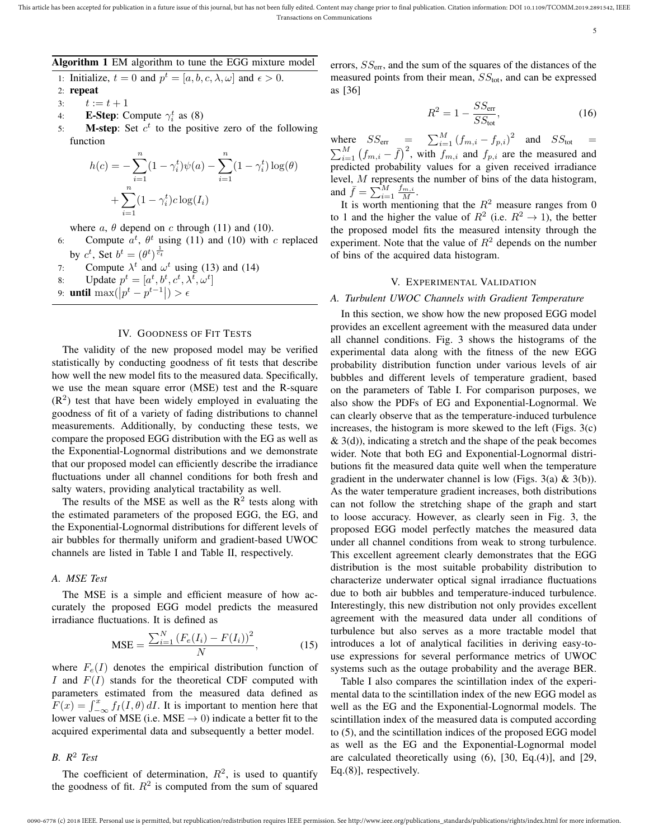Algorithm 1 EM algorithm to tune the EGG mixture model

1: Initialize, 
$$
t = 0
$$
 and  $p^t = [a, b, c, \lambda, \omega]$  and  $\epsilon > 0$ .

2: repeat

- 3:  $t := t + 1$
- 4: **E-Step**: Compute  $\gamma_i^t$  as (8)
- 5: **M-step:** Set  $c^t$  to the positive zero of the following function

$$
h(c) = -\sum_{i=1}^{n} (1 - \gamma_i^t) \psi(a) - \sum_{i=1}^{n} (1 - \gamma_i^t) \log(\theta) + \sum_{i=1}^{n} (1 - \gamma_i^t) c \log(I_i)
$$

where  $a, \theta$  depend on c through (11) and (10).

6: Compute  $a^t$ ,  $\theta^t$  using (11) and (10) with c replaced by  $c^t$ , Set  $b^t = (\theta^t)^{\frac{1}{c_t}}$ 

7: Compute 
$$
\lambda^t
$$
 and  $\omega^t$  using (13) and (14)

8: Update 
$$
p^t = [a^t, b^t, c^t, \lambda^t, \omega^t]
$$

9: **until** max $(|p^t - p^{t-1}|) > \epsilon$ 

# IV. GOODNESS OF FIT TESTS

The validity of the new proposed model may be verified statistically by conducting goodness of fit tests that describe how well the new model fits to the measured data. Specifically, we use the mean square error (MSE) test and the R-square  $(R<sup>2</sup>)$  test that have been widely employed in evaluating the goodness of fit of a variety of fading distributions to channel measurements. Additionally, by conducting these tests, we compare the proposed EGG distribution with the EG as well as the Exponential-Lognormal distributions and we demonstrate that our proposed model can efficiently describe the irradiance fluctuations under all channel conditions for both fresh and salty waters, providing analytical tractability as well.

The results of the MSE as well as the  $R<sup>2</sup>$  tests along with the estimated parameters of the proposed EGG, the EG, and the Exponential-Lognormal distributions for different levels of air bubbles for thermally uniform and gradient-based UWOC channels are listed in Table I and Table II, respectively.

# *A. MSE Test*

The MSE is a simple and efficient measure of how accurately the proposed EGG model predicts the measured irradiance fluctuations. It is defined as

$$
\text{MSE} = \frac{\sum_{i=1}^{N} (F_e(I_i) - F(I_i))^2}{N},\tag{15}
$$

where  $F_e(I)$  denotes the empirical distribution function of I and  $F(I)$  stands for the theoretical CDF computed with parameters estimated from the measured data defined as  $F(x) = \int_{-\infty}^{x} f_I(I, \theta) dI$ . It is important to mention here that lower values of MSE (i.e. MSE  $\rightarrow$  0) indicate a better fit to the acquired experimental data and subsequently a better model.

*B. R*<sup>2</sup> *Test*

The coefficient of determination,  $R^2$ , is used to quantify the goodness of fit.  $R^2$  is computed from the sum of squared errors,  $SS_{\text{err}}$ , and the sum of the squares of the distances of the measured points from their mean,  $SS<sub>tot</sub>$ , and can be expressed as [36]

$$
R^2 = 1 - \frac{SS_{\text{err}}}{SS_{\text{tot}}},\tag{16}
$$

where  $SS_{\text{err}} = \sum_{i=1}^{M} (f_{m,i} - f_{p,i})^2$  and  $SS_{\text{tot}} =$  $\sum_{i=1}^{M} (f_{m,i} - \bar{f})^2$ , with  $f_{m,i}$  and  $f_{p,i}$  are the measured and predicted probability values for a given received irradiance level, M represents the number of bins of the data histogram, and  $\bar{f} = \sum_{i=1}^{M} \frac{f_{m,i}}{M}$ .

It is worth mentioning that the  $R^2$  measure ranges from 0 to 1 and the higher the value of  $R^2$  (i.e.  $R^2 \rightarrow 1$ ), the better the proposed model fits the measured intensity through the experiment. Note that the value of  $R^2$  depends on the number of bins of the acquired data histogram.

# V. EXPERIMENTAL VALIDATION

## *A. Turbulent UWOC Channels with Gradient Temperature*

In this section, we show how the new proposed EGG model provides an excellent agreement with the measured data under all channel conditions. Fig. 3 shows the histograms of the experimental data along with the fitness of the new EGG probability distribution function under various levels of air bubbles and different levels of temperature gradient, based on the parameters of Table I. For comparison purposes, we also show the PDFs of EG and Exponential-Lognormal. We can clearly observe that as the temperature-induced turbulence increases, the histogram is more skewed to the left (Figs. 3(c)  $& 3(d)$ , indicating a stretch and the shape of the peak becomes wider. Note that both EG and Exponential-Lognormal distributions fit the measured data quite well when the temperature gradient in the underwater channel is low (Figs. 3(a)  $\&$  3(b)). As the water temperature gradient increases, both distributions can not follow the stretching shape of the graph and start to loose accuracy. However, as clearly seen in Fig. 3, the proposed EGG model perfectly matches the measured data under all channel conditions from weak to strong turbulence. This excellent agreement clearly demonstrates that the EGG distribution is the most suitable probability distribution to characterize underwater optical signal irradiance fluctuations due to both air bubbles and temperature-induced turbulence. Interestingly, this new distribution not only provides excellent agreement with the measured data under all conditions of turbulence but also serves as a more tractable model that introduces a lot of analytical facilities in deriving easy-touse expressions for several performance metrics of UWOC systems such as the outage probability and the average BER.

Table I also compares the scintillation index of the experimental data to the scintillation index of the new EGG model as well as the EG and the Exponential-Lognormal models. The scintillation index of the measured data is computed according to (5), and the scintillation indices of the proposed EGG model as well as the EG and the Exponential-Lognormal model are calculated theoretically using (6), [30, Eq.(4)], and [29, Eq.(8)], respectively.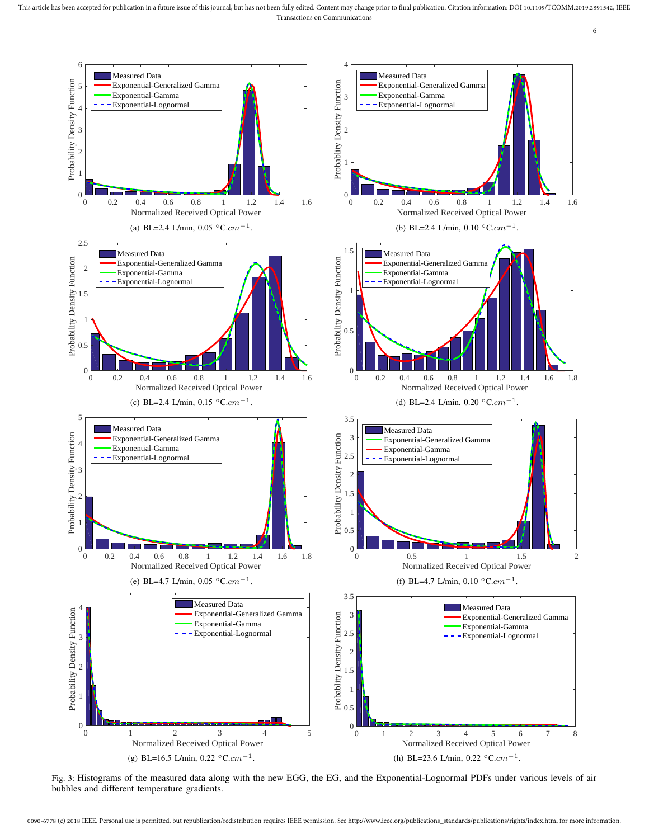

Fig. 3: Histograms of the measured data along with the new EGG, the EG, and the Exponential-Lognormal PDFs under various levels of air bubbles and different temperature gradients.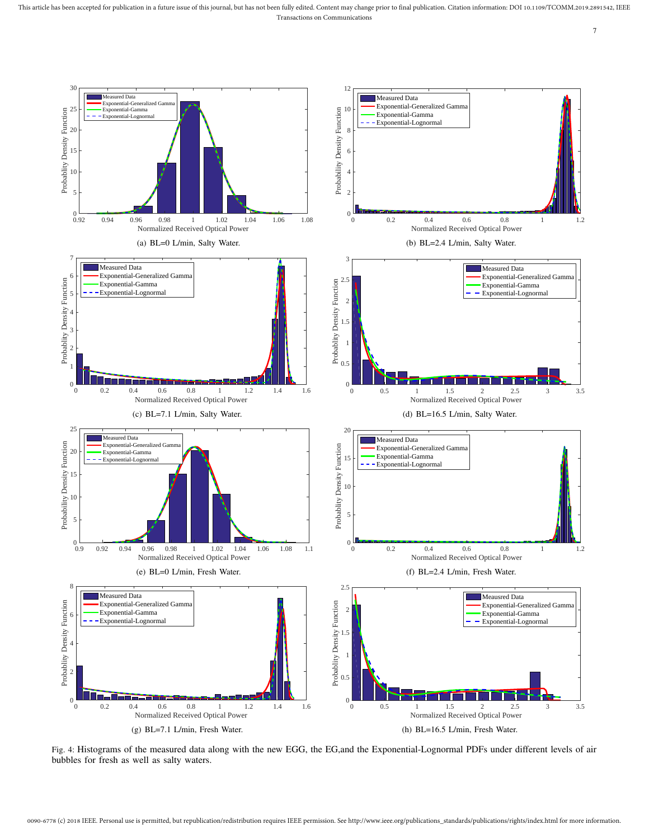

Fig. 4: Histograms of the measured data along with the new EGG, the EG,and the Exponential-Lognormal PDFs under different levels of air bubbles for fresh as well as salty waters.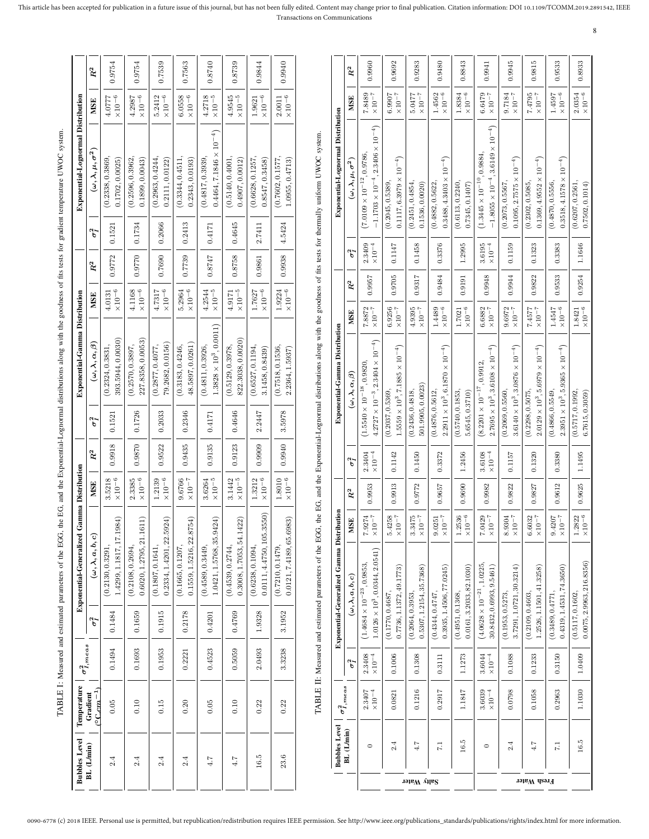$7.1 \qquad \qquad \begin{array}{|c|c|} \hline \begin{array}{c} 0.3489, 0.4771, \ 0.2963 & 0.3150 \end{array} & \begin{array}{c} 0.3489, 0.4771, \ 0.4719, 1.4531, \ \end{array} \end{array}$ 

0.2963

 $\overline{\phantom{0}}$  .

 $0.31\,50$ 

 $16.5 \qquad \qquad 1.1030 \qquad \qquad 1.0409 \qquad \qquad 0.075, \; 2.9963.$ 

 $1.1030$ 

 $16.5\,$ 

1.0409

0.0075, 2.9963, 216.8356)

 $(0.5117, 0.1602, 0.0075, 2.9963, 216.8356)$ 

 $1.2822$ <br> $\times 10^{-6}$ 

 $\begin{array}{|c|c|c|c|}\hline 1.2822 & 0.9625 & 1.1495 & (0.5717, 0.1992,\ \times 10^{-6} & & 1.1495 & 6.7615, 0.3059\hline \end{array}$ 

1.1495

 $0.9625$ 

6.7615, 0.3059)

0.4319, 1.4531, 74.3650)

 $\begin{array}{c} (0.3489, 0.4771, \\ 0.4319, 1.4531, 74.3650) \end{array}$ 

 $9.4207$ <br/> $\times10^{-7}$ 

 $\begin{array}{|c|c|c|c|}\hline 0.4207 & 0.9612 & 0.3380 & (0.4866, 0.5549, 0.812 & 0.3380 & 2.3951\times 10^{3}, 51\times 10^{3}, 51\times 10^{3}, 51\times 10^{3}, 51\times 10^{3}, 51\times 10^{3}, 51\times 10^{3}, 51\times 10^{3}, 51\times 10^{3}, 51\times 10^{3}, 51\times 10^{3}, 51\times 10^{3}, 51\times 10^{3},$ 

0.3380

0.9612

 $2.3951 \times 10^3, 5.9365 \times 10^{-4}$ 

 $1.4547$ <br> $\times 10^{-6}$ 

 $1.8421  
\times10^{-6}$ 

 $\left.\begin{array}{cc} 1.8421 & 0.9254 & 1.1646 & (0.6207, 0.2561, 0.46) \ \times 10^{-6} & 0.7502 & 0.7502, 0.1014 \end{array}\right.$ 

1.1646

0.9254

0.7502, 0.1014)

 $\begin{array}{c} (0.6207, 0.2561, \\ 0.7502, 0.1014) \end{array}$ 

 $\begin{array}{|c|c|c|c|}\hline 1.4547 & 0.9533 & 0.3383 & (0.4870, 0.5556,\ & & & & & \\\hline 0.10^{-6} & 0.9533 & 0.3383 & 0.3518, 4.1578 \\\hline \end{array}$ 

0.3383

0.9533

 $0.3518, 4.1578 \times 10^{-4}$ 

 $\widehat{\phantom{m}}$ 

 $^{\rm 1.4597}_{\rm \times 10^{-6}}$  0.9533

2.0354 ×10−6 0.8933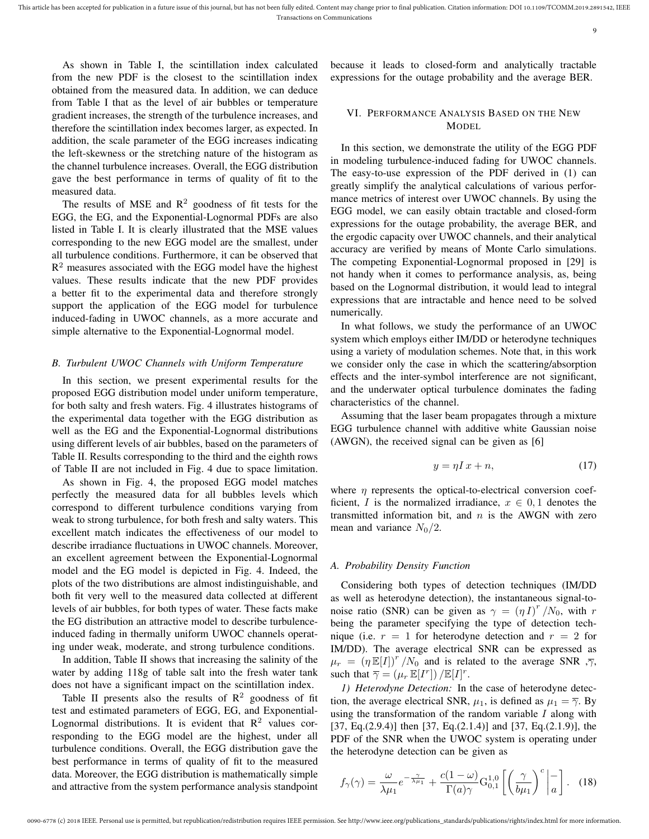As shown in Table I, the scintillation index calculated from the new PDF is the closest to the scintillation index obtained from the measured data. In addition, we can deduce from Table I that as the level of air bubbles or temperature gradient increases, the strength of the turbulence increases, and therefore the scintillation index becomes larger, as expected. In addition, the scale parameter of the EGG increases indicating the left-skewness or the stretching nature of the histogram as the channel turbulence increases. Overall, the EGG distribution gave the best performance in terms of quality of fit to the measured data.

The results of MSE and  $\mathbb{R}^2$  goodness of fit tests for the EGG, the EG, and the Exponential-Lognormal PDFs are also listed in Table I. It is clearly illustrated that the MSE values corresponding to the new EGG model are the smallest, under all turbulence conditions. Furthermore, it can be observed that  $R<sup>2</sup>$  measures associated with the EGG model have the highest values. These results indicate that the new PDF provides a better fit to the experimental data and therefore strongly support the application of the EGG model for turbulence induced-fading in UWOC channels, as a more accurate and simple alternative to the Exponential-Lognormal model.

# *B. Turbulent UWOC Channels with Uniform Temperature*

In this section, we present experimental results for the proposed EGG distribution model under uniform temperature, for both salty and fresh waters. Fig. 4 illustrates histograms of the experimental data together with the EGG distribution as well as the EG and the Exponential-Lognormal distributions using different levels of air bubbles, based on the parameters of Table II. Results corresponding to the third and the eighth rows of Table II are not included in Fig. 4 due to space limitation.

As shown in Fig. 4, the proposed EGG model matches perfectly the measured data for all bubbles levels which correspond to different turbulence conditions varying from weak to strong turbulence, for both fresh and salty waters. This excellent match indicates the effectiveness of our model to describe irradiance fluctuations in UWOC channels. Moreover, an excellent agreement between the Exponential-Lognormal model and the EG model is depicted in Fig. 4. Indeed, the plots of the two distributions are almost indistinguishable, and both fit very well to the measured data collected at different levels of air bubbles, for both types of water. These facts make the EG distribution an attractive model to describe turbulenceinduced fading in thermally uniform UWOC channels operating under weak, moderate, and strong turbulence conditions.

In addition, Table II shows that increasing the salinity of the water by adding 118g of table salt into the fresh water tank does not have a significant impact on the scintillation index.

Table II presents also the results of  $\mathbb{R}^2$  goodness of fit test and estimated parameters of EGG, EG, and Exponential-Lognormal distributions. It is evident that  $\mathbb{R}^2$  values corresponding to the EGG model are the highest, under all turbulence conditions. Overall, the EGG distribution gave the best performance in terms of quality of fit to the measured data. Moreover, the EGG distribution is mathematically simple and attractive from the system performance analysis standpoint because it leads to closed-form and analytically tractable expressions for the outage probability and the average BER.

# VI. PERFORMANCE ANALYSIS BASED ON THE NEW **MODEL**

In this section, we demonstrate the utility of the EGG PDF in modeling turbulence-induced fading for UWOC channels. The easy-to-use expression of the PDF derived in (1) can greatly simplify the analytical calculations of various performance metrics of interest over UWOC channels. By using the EGG model, we can easily obtain tractable and closed-form expressions for the outage probability, the average BER, and the ergodic capacity over UWOC channels, and their analytical accuracy are verified by means of Monte Carlo simulations. The competing Exponential-Lognormal proposed in [29] is not handy when it comes to performance analysis, as, being based on the Lognormal distribution, it would lead to integral expressions that are intractable and hence need to be solved numerically.

In what follows, we study the performance of an UWOC system which employs either IM/DD or heterodyne techniques using a variety of modulation schemes. Note that, in this work we consider only the case in which the scattering/absorption effects and the inter-symbol interference are not significant, and the underwater optical turbulence dominates the fading characteristics of the channel.

Assuming that the laser beam propagates through a mixture EGG turbulence channel with additive white Gaussian noise (AWGN), the received signal can be given as [6]

$$
y = \eta I \, x + n,\tag{17}
$$

where  $\eta$  represents the optical-to-electrical conversion coefficient, I is the normalized irradiance,  $x \in [0, 1]$  denotes the transmitted information bit, and  $n$  is the AWGN with zero mean and variance  $N_0/2$ .

# *A. Probability Density Function*

Considering both types of detection techniques (IM/DD as well as heterodyne detection), the instantaneous signal-tonoise ratio (SNR) can be given as  $\gamma = (\eta I)^r / N_0$ , with r being the parameter specifying the type of detection technique (i.e.  $r = 1$  for heterodyne detection and  $r = 2$  for IM/DD). The average electrical SNR can be expressed as  $\mu_r = (\eta \mathbb{E}[I])^r / N_0$  and is related to the average SNR ,  $\overline{\gamma}$ , such that  $\overline{\gamma} = (\mu_r \mathbb{E}[I^r]) / \mathbb{E}[I]^r$ .

*1) Heterodyne Detection:* In the case of heterodyne detection, the average electrical SNR,  $\mu_1$ , is defined as  $\mu_1 = \overline{\gamma}$ . By using the transformation of the random variable  $I$  along with [37, Eq.(2.9.4)] then [37, Eq.(2.1.4)] and [37, Eq.(2.1.9)], the PDF of the SNR when the UWOC system is operating under the heterodyne detection can be given as

$$
f_{\gamma}(\gamma) = \frac{\omega}{\lambda \mu_1} e^{-\frac{\gamma}{\lambda \mu_1}} + \frac{c(1-\omega)}{\Gamma(a)\gamma} G_{0,1}^{1,0} \left[ \left( \frac{\gamma}{b \mu_1} \right)^c \Big|_a^{-1} \right]. \tag{18}
$$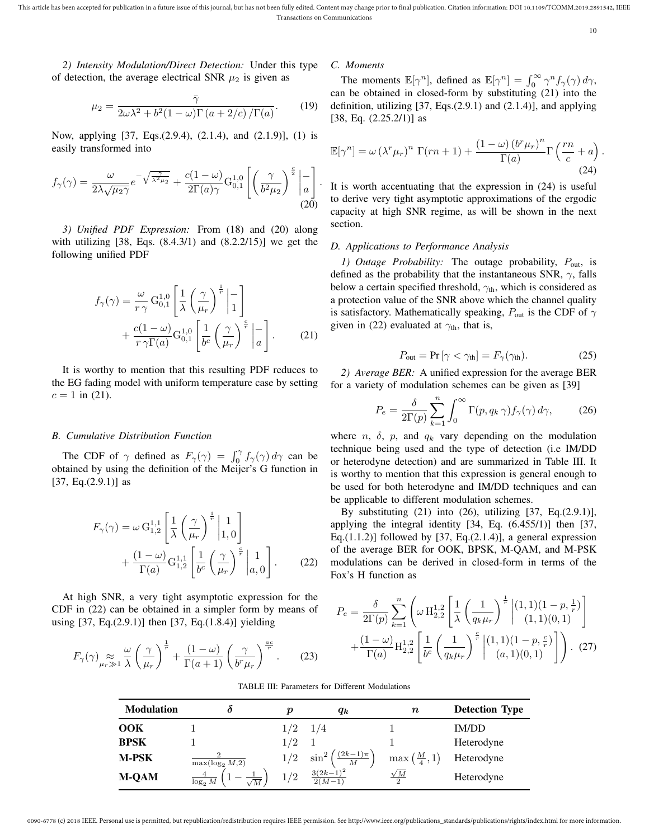.

*2) Intensity Modulation/Direct Detection:* Under this type of detection, the average electrical SNR  $\mu_2$  is given as

$$
\mu_2 = \frac{\bar{\gamma}}{2\omega\lambda^2 + b^2(1-\omega)\Gamma(a+2/c)/\Gamma(a)}.\tag{19}
$$

Now, applying [37, Eqs.(2.9.4), (2.1.4), and (2.1.9)], (1) is easily transformed into

$$
f_{\gamma}(\gamma) = \frac{\omega}{2\lambda\sqrt{\mu_2\gamma}}e^{-\sqrt{\frac{\gamma}{\lambda^2\mu_2}}} + \frac{c(1-\omega)}{2\Gamma(a)\gamma}G_{0,1}^{1,0}\left[\left(\frac{\gamma}{b^2\mu_2}\right)^{\frac{c}{2}}\bigg| \frac{1}{a}\right].
$$
\n(20)

*3) Unified PDF Expression:* From (18) and (20) along with utilizing [38, Eqs. (8.4.3/1) and (8.2.2/15)] we get the following unified PDF

$$
f_{\gamma}(\gamma) = \frac{\omega}{r \gamma} G_{0,1}^{1,0} \left[ \frac{1}{\lambda} \left( \frac{\gamma}{\mu_r} \right)^{\frac{1}{r}} \Big| \frac{1}{1} \right] + \frac{c(1-\omega)}{r \gamma \Gamma(a)} G_{0,1}^{1,0} \left[ \frac{1}{b^c} \left( \frac{\gamma}{\mu_r} \right)^{\frac{c}{r}} \Big| \frac{1}{a} \right].
$$
 (21)

It is worthy to mention that this resulting PDF reduces to the EG fading model with uniform temperature case by setting  $c = 1$  in (21).

## *B. Cumulative Distribution Function*

The CDF of  $\gamma$  defined as  $F_{\gamma}(\gamma) = \int_0^{\gamma} f_{\gamma}(\gamma) d\gamma$  can be obtained by using the definition of the Meijer's G function in  $[37, Eq. (2.9.1)]$  as

$$
F_{\gamma}(\gamma) = \omega \mathbf{G}_{1,2}^{1,1} \left[ \frac{1}{\lambda} \left( \frac{\gamma}{\mu_r} \right)^{\frac{1}{r}} \begin{vmatrix} 1 \\ 1, 0 \end{vmatrix} + \frac{(1-\omega)}{\Gamma(a)} \mathbf{G}_{1,2}^{1,1} \left[ \frac{1}{b^c} \left( \frac{\gamma}{\mu_r} \right)^{\frac{c}{r}} \begin{vmatrix} 1 \\ a, 0 \end{vmatrix} \right].
$$
 (22)

At high SNR, a very tight asymptotic expression for the CDF in (22) can be obtained in a simpler form by means of using [37, Eq.(2.9.1)] then [37, Eq.(1.8.4)] yielding

#### $F_\gamma(\gamma) \mathop{\approx}\limits_{\mu_r\gg1}$ ω λ  $\sqrt{\gamma}$  $\mu_r$  $\int_{0}^{\frac{1}{r}} + \frac{(1-\omega)}{\Gamma(a+1)} \left( \frac{\gamma}{b^r \mu} \right)$  $b^r\mu_r$  $\sqrt{\frac{ac}{r}}$  $(23)$

#### *C. Moments*

The moments  $\mathbb{E}[\gamma^n]$ , defined as  $\mathbb{E}[\gamma^n] = \int_0^\infty \gamma^n f_\gamma(\gamma) d\gamma$ , can be obtained in closed-form by substituting (21) into the definition, utilizing  $[37, Eqs. (2.9.1)$  and  $(2.1.4)$ ], and applying  $[38, Eq. (2.25.2/1)]$  as

$$
\mathbb{E}[\gamma^n] = \omega \left(\lambda^r \mu_r\right)^n \Gamma(rn+1) + \frac{\left(1 - \omega\right) \left(b^r \mu_r\right)^n}{\Gamma(a)} \Gamma\left(\frac{rn}{c} + a\right)
$$
\n(24)

It is worth accentuating that the expression in (24) is useful to derive very tight asymptotic approximations of the ergodic capacity at high SNR regime, as will be shown in the next section.

#### *D. Applications to Performance Analysis*

*1) Outage Probability:* The outage probability, Pout, is defined as the probability that the instantaneous SNR,  $\gamma$ , falls below a certain specified threshold,  $\gamma_{th}$ , which is considered as a protection value of the SNR above which the channel quality is satisfactory. Mathematically speaking,  $P_{\text{out}}$  is the CDF of  $\gamma$ given in (22) evaluated at  $\gamma_{th}$ , that is,

$$
P_{\text{out}} = \Pr\left[\gamma < \gamma_{\text{th}}\right] = F_{\gamma}(\gamma_{\text{th}}). \tag{25}
$$

*2) Average BER:* A unified expression for the average BER for a variety of modulation schemes can be given as [39]

$$
P_e = \frac{\delta}{2\Gamma(p)} \sum_{k=1}^n \int_0^\infty \Gamma(p, q_k \gamma) f_\gamma(\gamma) d\gamma,
$$
 (26)

where  $n$ ,  $\delta$ ,  $p$ , and  $q_k$  vary depending on the modulation technique being used and the type of detection (i.e IM/DD or heterodyne detection) and are summarized in Table III. It is worthy to mention that this expression is general enough to be used for both heterodyne and IM/DD techniques and can be applicable to different modulation schemes.

By substituting  $(21)$  into  $(26)$ , utilizing  $[37, Eq.(2.9.1)],$ applying the integral identity [34, Eq. (6.455/1)] then [37, Eq.(1.1.2)] followed by [37, Eq.(2.1.4)], a general expression of the average BER for OOK, BPSK, M-QAM, and M-PSK modulations can be derived in closed-form in terms of the Fox's H function as

$$
P_e = \frac{\delta}{2\Gamma(p)} \sum_{k=1}^n \left( \omega \, \mathrm{H}_{2,2}^{1,2} \left[ \frac{1}{\lambda} \left( \frac{1}{q_k \mu_r} \right)^{\frac{1}{r}} \right| (1,1)(1-p, \frac{1}{r}) \right] + \frac{(1-\omega)}{\Gamma(a)} \mathrm{H}_{2,2}^{1,2} \left[ \frac{1}{b^c} \left( \frac{1}{q_k \mu_r} \right)^{\frac{c}{r}} \right| (1,1)(1-p, \frac{c}{r}) \right] \right) + (27)
$$

#### TABLE III: Parameters for Different Modulations

| <b>Modulation</b> |                                               | р   | $q_k$                   | $\pmb{n}$                        | <b>Detection Type</b> |
|-------------------|-----------------------------------------------|-----|-------------------------|----------------------------------|-----------------------|
| OOK               |                                               | 1/2 | 1/4                     |                                  | <b>IM/DD</b>          |
| <b>BPSK</b>       |                                               | 1/2 |                         |                                  | Heterodyne            |
| <b>M-PSK</b>      | $\overline{\text{max}(\log_2 M, 2)}$          | 1/2 | $(2k-1)\pi$<br>$\sin^2$ | $\max\left(\frac{M}{4},1\right)$ | Heterodyne            |
| <b>M-QAM</b>      | $\frac{4}{\log_2 M}$<br>$\overline{\sqrt{M}}$ | 1/2 | $3(2k-1)^2$<br>$2(M-1)$ | $\frac{\sqrt{M}}{2}$             | Heterodyne            |

0090-6778 (c) 2018 IEEE. Personal use is permitted, but republication/redistribution requires IEEE permission. See http://www.ieee.org/publications\_standards/publications/rights/index.html for more information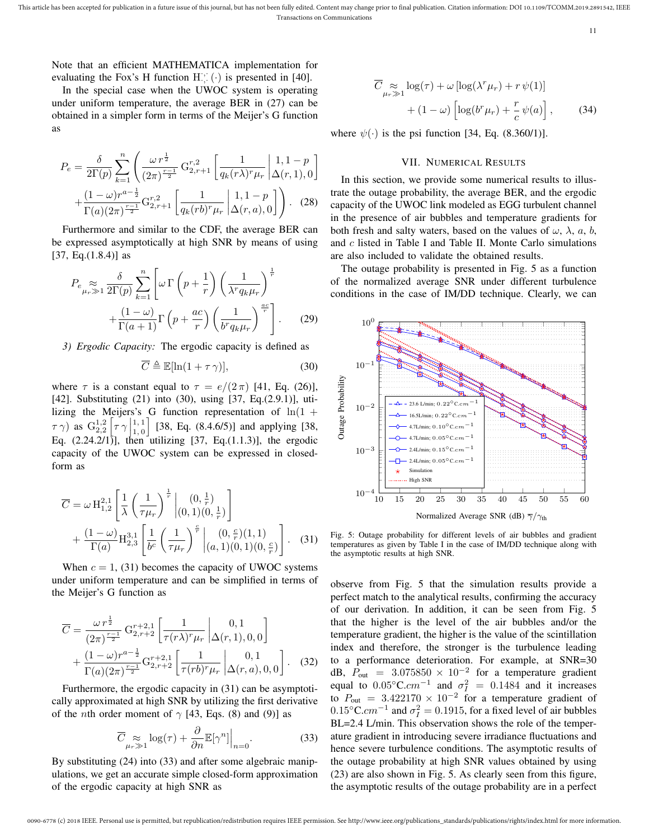Note that an efficient MATHEMATICA implementation for evaluating the Fox's H function  $H$ ;  $(\cdot)$  is presented in [40].

In the special case when the UWOC system is operating under uniform temperature, the average BER in (27) can be obtained in a simpler form in terms of the Meijer's G function as

$$
P_e = \frac{\delta}{2\Gamma(p)} \sum_{k=1}^n \left( \frac{\omega r^{\frac{1}{2}}}{(2\pi)^{\frac{r-1}{2}}} \mathbf{G}_{2,r+1}^{r,2} \left[ \frac{1}{q_k(r\lambda)^r \mu_r} \middle| \begin{array}{c} 1, 1-p\\ \Delta(r,1), 0 \end{array} \right] + \frac{(1-\omega)r^{a-\frac{1}{2}}}{\Gamma(a)(2\pi)^{\frac{r-1}{2}}} \mathbf{G}_{2,r+1}^{r,2} \left[ \frac{1}{q_k(rb)^r \mu_r} \middle| \begin{array}{c} 1, 1-p\\ \Delta(r, a), 0 \end{array} \right] \right). \tag{28}
$$

Furthermore and similar to the CDF, the average BER can be expressed asymptotically at high SNR by means of using  $[37, Eq. (1.8.4)]$  as

$$
P_{e} \underset{\mu_r \gg 1}{\approx} \frac{\delta}{2\Gamma(p)} \sum_{k=1}^{n} \left[ \omega \Gamma\left(p + \frac{1}{r}\right) \left(\frac{1}{\lambda^r q_k \mu_r}\right)^{\frac{1}{r}} + \frac{(1-\omega)}{\Gamma(a+1)} \Gamma\left(p + \frac{ac}{r}\right) \left(\frac{1}{b^r q_k \mu_r}\right)^{\frac{ac}{r}} \right].
$$
 (29)

*3) Ergodic Capacity:* The ergodic capacity is defined as

$$
\overline{C} \triangleq \mathbb{E}[\ln(1+\tau \gamma)],\tag{30}
$$

where  $\tau$  is a constant equal to  $\tau = e/(2\pi)$  [41, Eq. (26)], [42]. Substituting (21) into (30), using [37, Eq.(2.9.1)], utilizing the Meijers's G function representation of  $ln(1 +$  $(\tau \gamma)$  as  $G_{2,2}^{1,2}$   $(\tau \gamma)$ <br>Fig. (2.24.245) 1, 1  $\begin{bmatrix} 1, 1 \\ 1, 0 \end{bmatrix}$  [38, Eq. (8.4.6/5)] and applying [38, Eq.  $(2.24.2/1)$ ], then utilizing [37, Eq. $(1.1.3)$ ], the ergodic capacity of the UWOC system can be expressed in closedform as

$$
\overline{C} = \omega \, \mathrm{H}_{1,2}^{2,1} \left[ \frac{1}{\lambda} \left( \frac{1}{\tau \mu_r} \right)^{\frac{1}{r}} \middle| \begin{array}{l} (0, \frac{1}{r}) \\ (0, 1)(0, \frac{1}{r}) \end{array} \right] + \frac{(1 - \omega)}{\Gamma(a)} \mathrm{H}_{2,3}^{3,1} \left[ \frac{1}{b^c} \left( \frac{1}{\tau \mu_r} \right)^{\frac{c}{r}} \middle| \begin{array}{l} (0, \frac{c}{r})(1, 1) \\ (a, 1)(0, 1)(0, \frac{c}{r}) \end{array} \right]. \tag{31}
$$

When  $c = 1$ , (31) becomes the capacity of UWOC systems under uniform temperature and can be simplified in terms of the Meijer's G function as

$$
\overline{C} = \frac{\omega r^{\frac{1}{2}}}{(2\pi)^{\frac{r-1}{2}}} \mathcal{G}_{2,r+2}^{r+2,1} \left[ \frac{1}{\tau(r\lambda)^r \mu_r} \middle| \mathcal{A}(r,1),0,0 \right] + \frac{(1-\omega)r^{a-\frac{1}{2}}}{\Gamma(a)(2\pi)^{\frac{r-1}{2}}} \mathcal{G}_{2,r+2}^{r+2,1} \left[ \frac{1}{\tau(rb)^r \mu_r} \middle| \mathcal{A}(r,a),0,0 \right].
$$
 (32)

Furthermore, the ergodic capacity in (31) can be asymptotically approximated at high SNR by utilizing the first derivative of the *n*th order moment of  $\gamma$  [43, Eqs. (8) and (9)] as

$$
\overline{C} \underset{\mu_r \gg 1}{\approx} \log(\tau) + \frac{\partial}{\partial n} \mathbb{E}[\gamma^n] \Big|_{n=0}.
$$
 (33)

By substituting (24) into (33) and after some algebraic manipulations, we get an accurate simple closed-form approximation of the ergodic capacity at high SNR as

$$
\overline{C} \underset{\mu_r \gg 1}{\approx} \log(\tau) + \omega \left[ \log(\lambda^r \mu_r) + r \psi(1) \right] \n+ (1 - \omega) \left[ \log(b^r \mu_r) + \frac{r}{c} \psi(a) \right],
$$
\n(34)

where  $\psi(\cdot)$  is the psi function [34, Eq. (8.360/1)].

# VII. NUMERICAL RESULTS

In this section, we provide some numerical results to illustrate the outage probability, the average BER, and the ergodic capacity of the UWOC link modeled as EGG turbulent channel in the presence of air bubbles and temperature gradients for both fresh and salty waters, based on the values of  $\omega$ ,  $\lambda$ ,  $a$ ,  $b$ , and c listed in Table I and Table II. Monte Carlo simulations are also included to validate the obtained results.

The outage probability is presented in Fig. 5 as a function of the normalized average SNR under different turbulence conditions in the case of IM/DD technique. Clearly, we can



Fig. 5: Outage probability for different levels of air bubbles and gradient temperatures as given by Table I in the case of IM/DD technique along with the asymptotic results at high SNR.

observe from Fig. 5 that the simulation results provide a perfect match to the analytical results, confirming the accuracy of our derivation. In addition, it can be seen from Fig. 5 that the higher is the level of the air bubbles and/or the temperature gradient, the higher is the value of the scintillation index and therefore, the stronger is the turbulence leading to a performance deterioration. For example, at SNR=30 dB,  $P_{\text{out}} = 3.075850 \times 10^{-2}$  for a temperature gradient equal to  $0.05\degree$ C.*cm*<sup>-1</sup> and  $\sigma_I^2 = 0.1484$  and it increases to  $P_{\text{out}} = 3.422170 \times 10^{-2}$  for a temperature gradient of  $0.15^{\circ}\text{C}.\text{cm}^{-1}$  and  $\sigma_I^2 = 0.1915$ , for a fixed level of air bubbles BL=2.4 L/min. This observation shows the role of the temperature gradient in introducing severe irradiance fluctuations and hence severe turbulence conditions. The asymptotic results of the outage probability at high SNR values obtained by using (23) are also shown in Fig. 5. As clearly seen from this figure, the asymptotic results of the outage probability are in a perfect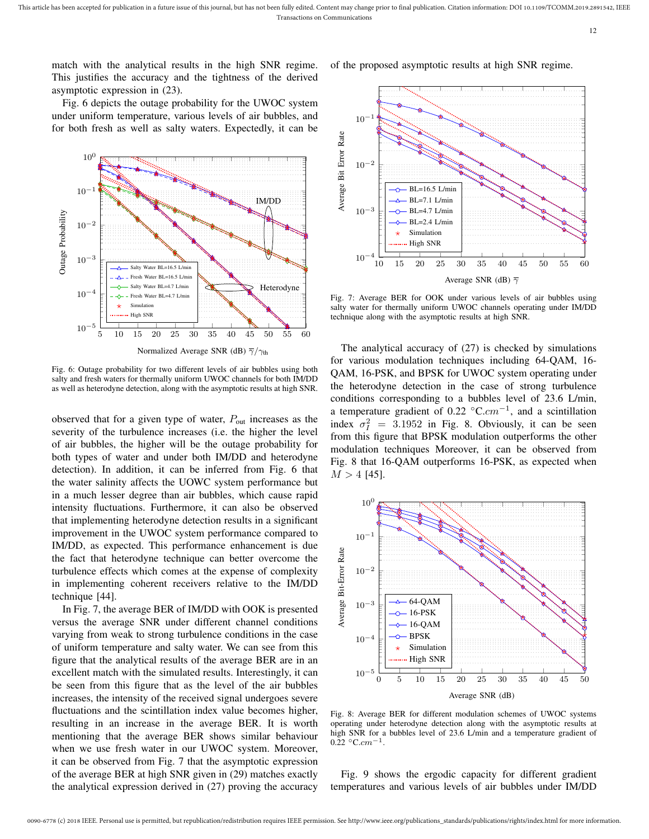match with the analytical results in the high SNR regime. This justifies the accuracy and the tightness of the derived asymptotic expression in (23).

of the proposed asymptotic results at high SNR regime.

Fig. 6 depicts the outage probability for the UWOC system under uniform temperature, various levels of air bubbles, and for both fresh as well as salty waters. Expectedly, it can be



Normalized Average SNR (dB)  $\overline{\gamma}/\gamma_{\text{th}}$ 

Fig. 6: Outage probability for two different levels of air bubbles using both salty and fresh waters for thermally uniform UWOC channels for both IM/DD as well as heterodyne detection, along with the asymptotic results at high SNR.

observed that for a given type of water,  $P_{\text{out}}$  increases as the severity of the turbulence increases (i.e. the higher the level of air bubbles, the higher will be the outage probability for both types of water and under both IM/DD and heterodyne detection). In addition, it can be inferred from Fig. 6 that the water salinity affects the UOWC system performance but in a much lesser degree than air bubbles, which cause rapid intensity fluctuations. Furthermore, it can also be observed that implementing heterodyne detection results in a significant improvement in the UWOC system performance compared to IM/DD, as expected. This performance enhancement is due the fact that heterodyne technique can better overcome the turbulence effects which comes at the expense of complexity in implementing coherent receivers relative to the IM/DD technique [44].

In Fig. 7, the average BER of IM/DD with OOK is presented versus the average SNR under different channel conditions varying from weak to strong turbulence conditions in the case of uniform temperature and salty water. We can see from this figure that the analytical results of the average BER are in an excellent match with the simulated results. Interestingly, it can be seen from this figure that as the level of the air bubbles increases, the intensity of the received signal undergoes severe fluctuations and the scintillation index value becomes higher, resulting in an increase in the average BER. It is worth mentioning that the average BER shows similar behaviour when we use fresh water in our UWOC system. Moreover, it can be observed from Fig. 7 that the asymptotic expression of the average BER at high SNR given in (29) matches exactly the analytical expression derived in (27) proving the accuracy



Fig. 7: Average BER for OOK under various levels of air bubbles using salty water for thermally uniform UWOC channels operating under IM/DD technique along with the asymptotic results at high SNR.

The analytical accuracy of (27) is checked by simulations for various modulation techniques including 64-QAM, 16- QAM, 16-PSK, and BPSK for UWOC system operating under the heterodyne detection in the case of strong turbulence conditions corresponding to a bubbles level of 23.6 L/min, a temperature gradient of 0.22 °C. $cm^{-1}$ , and a scintillation index  $\sigma_l^2 = 3.1952$  in Fig. 8. Obviously, it can be seen from this figure that BPSK modulation outperforms the other modulation techniques Moreover, it can be observed from Fig. 8 that 16-QAM outperforms 16-PSK, as expected when  $M > 4$  [45].



Fig. 8: Average BER for different modulation schemes of UWOC systems operating under heterodyne detection along with the asymptotic results at high SNR for a bubbles level of 23.6 L/min and a temperature gradient of 0.22  $^{\circ}{\rm C}.cm^{-1}$ .

Fig. 9 shows the ergodic capacity for different gradient temperatures and various levels of air bubbles under IM/DD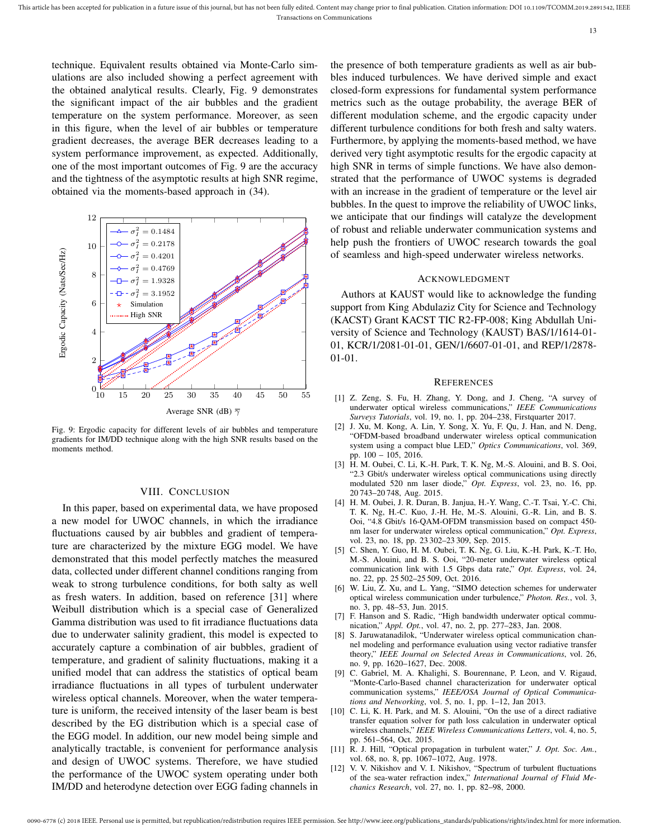technique. Equivalent results obtained via Monte-Carlo simulations are also included showing a perfect agreement with the obtained analytical results. Clearly, Fig. 9 demonstrates the significant impact of the air bubbles and the gradient temperature on the system performance. Moreover, as seen in this figure, when the level of air bubbles or temperature gradient decreases, the average BER decreases leading to a system performance improvement, as expected. Additionally, one of the most important outcomes of Fig. 9 are the accuracy and the tightness of the asymptotic results at high SNR regime, obtained via the moments-based approach in (34).



Fig. 9: Ergodic capacity for different levels of air bubbles and temperature gradients for IM/DD technique along with the high SNR results based on the moments method.

#### VIII. CONCLUSION

In this paper, based on experimental data, we have proposed a new model for UWOC channels, in which the irradiance fluctuations caused by air bubbles and gradient of temperature are characterized by the mixture EGG model. We have demonstrated that this model perfectly matches the measured data, collected under different channel conditions ranging from weak to strong turbulence conditions, for both salty as well as fresh waters. In addition, based on reference [31] where Weibull distribution which is a special case of Generalized Gamma distribution was used to fit irradiance fluctuations data due to underwater salinity gradient, this model is expected to accurately capture a combination of air bubbles, gradient of temperature, and gradient of salinity fluctuations, making it a unified model that can address the statistics of optical beam irradiance fluctuations in all types of turbulent underwater wireless optical channels. Moreover, when the water temperature is uniform, the received intensity of the laser beam is best described by the EG distribution which is a special case of the EGG model. In addition, our new model being simple and analytically tractable, is convenient for performance analysis and design of UWOC systems. Therefore, we have studied the performance of the UWOC system operating under both IM/DD and heterodyne detection over EGG fading channels in

the presence of both temperature gradients as well as air bubbles induced turbulences. We have derived simple and exact closed-form expressions for fundamental system performance metrics such as the outage probability, the average BER of different modulation scheme, and the ergodic capacity under different turbulence conditions for both fresh and salty waters. Furthermore, by applying the moments-based method, we have derived very tight asymptotic results for the ergodic capacity at high SNR in terms of simple functions. We have also demonstrated that the performance of UWOC systems is degraded with an increase in the gradient of temperature or the level air bubbles. In the quest to improve the reliability of UWOC links, we anticipate that our findings will catalyze the development of robust and reliable underwater communication systems and help push the frontiers of UWOC research towards the goal of seamless and high-speed underwater wireless networks.

#### ACKNOWLEDGMENT

Authors at KAUST would like to acknowledge the funding support from King Abdulaziz City for Science and Technology (KACST) Grant KACST TIC R2-FP-008; King Abdullah University of Science and Technology (KAUST) BAS/1/1614-01- 01, KCR/1/2081-01-01, GEN/1/6607-01-01, and REP/1/2878- 01-01.

#### **REFERENCES**

- [1] Z. Zeng, S. Fu, H. Zhang, Y. Dong, and J. Cheng, "A survey of underwater optical wireless communications," *IEEE Communications Surveys Tutorials*, vol. 19, no. 1, pp. 204–238, Firstquarter 2017.
- [2] J. Xu, M. Kong, A. Lin, Y. Song, X. Yu, F. Qu, J. Han, and N. Deng, "OFDM-based broadband underwater wireless optical communication system using a compact blue LED," *Optics Communications*, vol. 369, pp. 100 – 105, 2016.
- [3] H. M. Oubei, C. Li, K.-H. Park, T. K. Ng, M.-S. Alouini, and B. S. Ooi, "2.3 Gbit/s underwater wireless optical communications using directly modulated 520 nm laser diode," *Opt. Express*, vol. 23, no. 16, pp. 20 743–20 748, Aug. 2015.
- [4] H. M. Oubei, J. R. Duran, B. Janjua, H.-Y. Wang, C.-T. Tsai, Y.-C. Chi, T. K. Ng, H.-C. Kuo, J.-H. He, M.-S. Alouini, G.-R. Lin, and B. S. Ooi, "4.8 Gbit/s 16-QAM-OFDM transmission based on compact 450 nm laser for underwater wireless optical communication," *Opt. Express*, vol. 23, no. 18, pp. 23 302–23 309, Sep. 2015.
- [5] C. Shen, Y. Guo, H. M. Oubei, T. K. Ng, G. Liu, K.-H. Park, K.-T. Ho, M.-S. Alouini, and B. S. Ooi, "20-meter underwater wireless optical communication link with 1.5 Gbps data rate," *Opt. Express*, vol. 24, no. 22, pp. 25 502–25 509, Oct. 2016.
- [6] W. Liu, Z. Xu, and L. Yang, "SIMO detection schemes for underwater optical wireless communication under turbulence," *Photon. Res.*, vol. 3, no. 3, pp. 48–53, Jun. 2015.
- [7] F. Hanson and S. Radic, "High bandwidth underwater optical communication," *Appl. Opt.*, vol. 47, no. 2, pp. 277–283, Jan. 2008.
- [8] S. Jaruwatanadilok, "Underwater wireless optical communication channel modeling and performance evaluation using vector radiative transfer theory," *IEEE Journal on Selected Areas in Communications*, vol. 26, no. 9, pp. 1620–1627, Dec. 2008.
- [9] C. Gabriel, M. A. Khalighi, S. Bourennane, P. Leon, and V. Rigaud, "Monte-Carlo-Based channel characterization for underwater optical communication systems," *IEEE/OSA Journal of Optical Communications and Networking*, vol. 5, no. 1, pp. 1–12, Jan 2013.
- [10] C. Li, K. H. Park, and M. S. Alouini, "On the use of a direct radiative transfer equation solver for path loss calculation in underwater optical wireless channels," *IEEE Wireless Communications Letters*, vol. 4, no. 5, pp. 561–564, Oct. 2015.
- [11] R. J. Hill, "Optical propagation in turbulent water," *J. Opt. Soc. Am.*, vol. 68, no. 8, pp. 1067–1072, Aug. 1978.
- [12] V. V. Nikishov and V. I. Nikishov, "Spectrum of turbulent fluctuations of the sea-water refraction index," *International Journal of Fluid Mechanics Research*, vol. 27, no. 1, pp. 82–98, 2000.